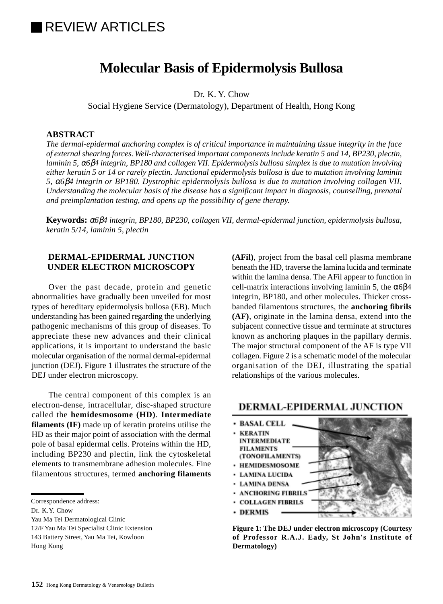# REVIEW ARTICLES

## **Molecular Basis of Epidermolysis Bullosa**

Dr. K. Y. Chow

Social Hygiene Service (Dermatology), Department of Health, Hong Kong

#### **ABSTRACT**

*The dermal-epidermal anchoring complex is of critical importance in maintaining tissue integrity in the face of external shearing forces. Well-characterised important components include keratin 5 and 14, BP230, plectin, laminin 5,* α*6*β*4 integrin, BP180 and collagen VII. Epidermolysis bullosa simplex is due to mutation involving either keratin 5 or 14 or rarely plectin. Junctional epidermolysis bullosa is due to mutation involving laminin 5,* α*6*β*4 integrin or BP180. Dystrophic epidermolysis bullosa is due to mutation involving collagen VII. Understanding the molecular basis of the disease has a significant impact in diagnosis, counselling, prenatal and preimplantation testing, and opens up the possibility of gene therapy.*

**Keywords:** <sup>α</sup>*6*β*4 integrin, BP180, BP230, collagen VII, dermal-epidermal junction, epidermolysis bullosa, keratin 5/14, laminin 5, plectin*

#### **DERMAL-EPIDERMAL JUNCTION UNDER ELECTRON MICROSCOPY**

Over the past decade, protein and genetic abnormalities have gradually been unveiled for most types of hereditary epidermolysis bullosa (EB). Much understanding has been gained regarding the underlying pathogenic mechanisms of this group of diseases. To appreciate these new advances and their clinical applications, it is important to understand the basic molecular organisation of the normal dermal-epidermal junction (DEJ). Figure 1 illustrates the structure of the DEJ under electron microscopy.

The central component of this complex is an electron-dense, intracellular, disc-shaped structure called the **hemidesmosome (HD)**. **Intermediate filaments (IF)** made up of keratin proteins utilise the HD as their major point of association with the dermal pole of basal epidermal cells. Proteins within the HD, including BP230 and plectin, link the cytoskeletal elements to transmembrane adhesion molecules. Fine filamentous structures, termed **anchoring filaments**

Correspondence address:

Hong Kong

**(AFil)**, project from the basal cell plasma membrane beneath the HD, traverse the lamina lucida and terminate within the lamina densa. The AFil appear to function in cell-matrix interactions involving laminin 5, the  $α6β4$ integrin, BP180, and other molecules. Thicker crossbanded filamentous structures, the **anchoring fibrils (AF)**, originate in the lamina densa, extend into the subjacent connective tissue and terminate at structures known as anchoring plaques in the papillary dermis. The major structural component of the AF is type VII collagen. Figure 2 is a schematic model of the molecular organisation of the DEJ, illustrating the spatial relationships of the various molecules.

## DERMAL-EPIDERMAL JUNCTION



**Figure 1: The DEJ under electron microscopy (Courtesy of Professor R.A.J. Eady, St John's Institute of Dermatology)**

Dr. K.Y. Chow

Yau Ma Tei Dermatological Clinic

<sup>12/</sup>F Yau Ma Tei Specialist Clinic Extension

<sup>143</sup> Battery Street, Yau Ma Tei, Kowloon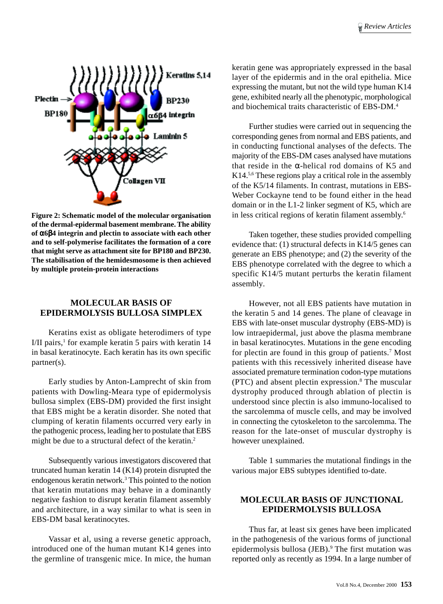

**Figure 2: Schematic model of the molecular organisation of the dermal-epidermal basement membrane. The ability of** α**6**β**4 integrin and plectin to associate with each other and to self-polymerise facilitates the formation of a core that might serve as attachment site for BP180 and BP230. The stabilisation of the hemidesmosome is then achieved by multiple protein-protein interactions**

## **MOLECULAR BASIS OF EPIDERMOLYSIS BULLOSA SIMPLEX**

Keratins exist as obligate heterodimers of type I/II pairs,<sup>1</sup> for example keratin 5 pairs with keratin 14 in basal keratinocyte. Each keratin has its own specific partner(s).

Early studies by Anton-Lamprecht of skin from patients with Dowling-Meara type of epidermolysis bullosa simplex (EBS-DM) provided the first insight that EBS might be a keratin disorder. She noted that clumping of keratin filaments occurred very early in the pathogenic process, leading her to postulate that EBS might be due to a structural defect of the keratin.2

Subsequently various investigators discovered that truncated human keratin 14 (K14) protein disrupted the endogenous keratin network.<sup>3</sup> This pointed to the notion that keratin mutations may behave in a dominantly negative fashion to disrupt keratin filament assembly and architecture, in a way similar to what is seen in EBS-DM basal keratinocytes.

Vassar et al, using a reverse genetic approach, introduced one of the human mutant K14 genes into the germline of transgenic mice. In mice, the human keratin gene was appropriately expressed in the basal layer of the epidermis and in the oral epithelia. Mice expressing the mutant, but not the wild type human K14 gene, exhibited nearly all the phenotypic, morphological and biochemical traits characteristic of EBS-DM.4

Further studies were carried out in sequencing the corresponding genes from normal and EBS patients, and in conducting functional analyses of the defects. The majority of the EBS-DM cases analysed have mutations that reside in the α-helical rod domains of K5 and K14.5,6 These regions play a critical role in the assembly of the K5/14 filaments. In contrast, mutations in EBS-Weber Cockayne tend to be found either in the head domain or in the L1-2 linker segment of K5, which are in less critical regions of keratin filament assembly.<sup>6</sup>

Taken together, these studies provided compelling evidence that: (1) structural defects in K14/5 genes can generate an EBS phenotype; and (2) the severity of the EBS phenotype correlated with the degree to which a specific K14/5 mutant perturbs the keratin filament assembly.

However, not all EBS patients have mutation in the keratin 5 and 14 genes. The plane of cleavage in EBS with late-onset muscular dystrophy (EBS-MD) is low intraepidermal, just above the plasma membrane in basal keratinocytes. Mutations in the gene encoding for plectin are found in this group of patients.<sup>7</sup> Most patients with this recessively inherited disease have associated premature termination codon-type mutations (PTC) and absent plectin expression.8 The muscular dystrophy produced through ablation of plectin is understood since plectin is also immuno-localised to the sarcolemma of muscle cells, and may be involved in connecting the cytoskeleton to the sarcolemma. The reason for the late-onset of muscular dystrophy is however unexplained.

Table 1 summaries the mutational findings in the various major EBS subtypes identified to-date.

#### **MOLECULAR BASIS OF JUNCTIONAL EPIDERMOLYSIS BULLOSA**

Thus far, at least six genes have been implicated in the pathogenesis of the various forms of junctional epidermolysis bullosa (JEB).<sup>9</sup> The first mutation was reported only as recently as 1994. In a large number of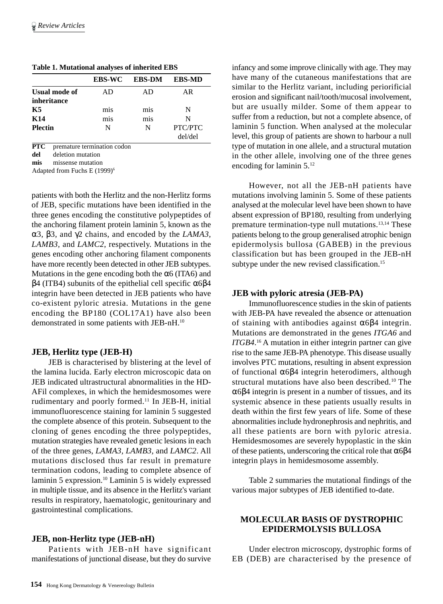|                      | <b>EBS-WC</b> | <b>EBS-DM</b> | <b>EBS-MD</b> |
|----------------------|---------------|---------------|---------------|
| <b>Usual mode of</b> | AD            | AD            | AR            |
| inheritance          |               |               |               |
| K5                   | mis           | mis           | N             |
| K14                  | mis           | mis           | N             |
| <b>Plectin</b>       | N             | N             | PTC/PTC       |
|                      |               |               | del/del       |
|                      |               |               |               |

**Table 1. Mutational analyses of inherited EBS**

**PTC** premature termination codon

**del** deletion mutation

**mis** missense mutation

Adapted from Fuchs E (1999)6

patients with both the Herlitz and the non-Herlitz forms of JEB, specific mutations have been identified in the three genes encoding the constitutive polypeptides of the anchoring filament protein laminin 5, known as the α3, β3, and γ2 chains, and encoded by the *LAMA3, LAMB3,* and *LAMC2*, respectively. Mutations in the genes encoding other anchoring filament components have more recently been detected in other JEB subtypes. Mutations in the gene encoding both the  $\alpha$ 6 (ITA6) and  $β$ 4 (ITB4) subunits of the epithelial cell specific  $α6β$ 4 integrin have been detected in JEB patients who have co-existent pyloric atresia. Mutations in the gene encoding the BP180 (COL17A1) have also been demonstrated in some patients with JEB-nH.10

#### **JEB, Herlitz type (JEB-H)**

JEB is characterised by blistering at the level of the lamina lucida. Early electron microscopic data on JEB indicated ultrastructural abnormalities in the HD-AFil complexes, in which the hemidesmosomes were rudimentary and poorly formed.11 In JEB-H, initial immunofluorescence staining for laminin 5 suggested the complete absence of this protein. Subsequent to the cloning of genes encoding the three polypeptides, mutation strategies have revealed genetic lesions in each of the three genes, *LAMA3, LAMB3,* and *LAMC2*. All mutations disclosed thus far result in premature termination codons, leading to complete absence of laminin 5 expression.10 Laminin 5 is widely expressed in multiple tissue, and its absence in the Herlitz's variant results in respiratory, haematologic, genitourinary and gastrointestinal complications.

#### **JEB, non-Herlitz type (JEB-nH)**

Patients with JEB-nH have significant manifestations of junctional disease, but they do survive

infancy and some improve clinically with age. They may have many of the cutaneous manifestations that are similar to the Herlitz variant, including periorificial erosion and significant nail/tooth/mucosal involvement, but are usually milder. Some of them appear to suffer from a reduction, but not a complete absence, of laminin 5 function. When analysed at the molecular level, this group of patients are shown to harbour a null type of mutation in one allele, and a structural mutation in the other allele, involving one of the three genes encoding for laminin 5.12

However, not all the JEB-nH patients have mutations involving laminin 5. Some of these patients analysed at the molecular level have been shown to have absent expression of BP180, resulting from underlying premature termination-type null mutations.13,14 These patients belong to the group generalised atrophic benign epidermolysis bullosa (GABEB) in the previous classification but has been grouped in the JEB-nH subtype under the new revised classification.<sup>15</sup>

#### **JEB with pyloric atresia (JEB-PA)**

Immunofluorescence studies in the skin of patients with JEB-PA have revealed the absence or attenuation of staining with antibodies against α6β4 integrin. Mutations are demonstrated in the genes *ITGA6* and *ITGB4*. 16 A mutation in either integrin partner can give rise to the same JEB-PA phenotype. This disease usually involves PTC mutations, resulting in absent expression of functional α6β4 integrin heterodimers, although structural mutations have also been described.<sup>10</sup> The α6β4 integrin is present in a number of tissues, and its systemic absence in these patients usually results in death within the first few years of life. Some of these abnormalities include hydronephrosis and nephritis, and all these patients are born with pyloric atresia. Hemidesmosomes are severely hypoplastic in the skin of these patients, underscoring the critical role that  $\alpha$ 6 $\beta$ 4 integrin plays in hemidesmosome assembly.

Table 2 summaries the mutational findings of the various major subtypes of JEB identified to-date.

#### **MOLECULAR BASIS OF DYSTROPHIC EPIDERMOLYSIS BULLOSA**

Under electron microscopy, dystrophic forms of EB (DEB) are characterised by the presence of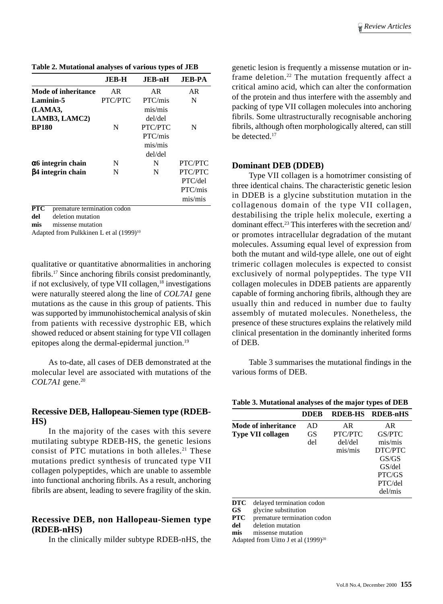**Table 2. Mutational analyses of various types of JEB**

|                           | JEB-H          | JEB-nH         | <b>JEB-PA</b> |
|---------------------------|----------------|----------------|---------------|
| Mode of inheritance       | AR             | AR.            | AR            |
| Laminin-5                 | <b>PTC/PTC</b> | PTC/mis        | N             |
| (LAMA3,                   |                | $m$ is/ $m$ is |               |
| LAMB3, LAMC2)             |                | del/del        |               |
| <b>BP180</b>              | N              | PTC/PTC        | N             |
|                           |                | PTC/mis        |               |
|                           |                | $m$ is/ $m$ is |               |
|                           |                | del/del        |               |
| $\alpha$ 6 integrin chain | N              | N              | PTC/PTC       |
| β4 integrin chain         | N              | N              | PTC/PTC       |
|                           |                |                | PTC/del       |
|                           |                |                | PTC/mis       |
|                           |                |                | mis/mis       |
|                           |                |                |               |

**PTC** premature termination codon

**del** deletion mutation

**mis** missense mutation

Adapted from Pulkkinen L et al (1999)<sup>10</sup>

qualitative or quantitative abnormalities in anchoring fibrils.17 Since anchoring fibrils consist predominantly, if not exclusively, of type VII collagen, $18$  investigations were naturally steered along the line of *COL7A1* gene mutations as the cause in this group of patients. This was supported by immunohistochemical analysis of skin from patients with recessive dystrophic EB, which showed reduced or absent staining for type VII collagen epitopes along the dermal-epidermal junction.19

As to-date, all cases of DEB demonstrated at the molecular level are associated with mutations of the *COL7A1* gene.20

#### **Recessive DEB, Hallopeau-Siemen type (RDEB-HS)**

In the majority of the cases with this severe mutilating subtype RDEB-HS, the genetic lesions consist of PTC mutations in both alleles.<sup>21</sup> These mutations predict synthesis of truncated type VII collagen polypeptides, which are unable to assemble into functional anchoring fibrils. As a result, anchoring fibrils are absent, leading to severe fragility of the skin.

#### **Recessive DEB, non Hallopeau-Siemen type (RDEB-nHS)**

In the clinically milder subtype RDEB-nHS, the

genetic lesion is frequently a missense mutation or inframe deletion.22 The mutation frequently affect a critical amino acid, which can alter the conformation of the protein and thus interfere with the assembly and packing of type VII collagen molecules into anchoring fibrils. Some ultrastructurally recognisable anchoring fibrils, although often morphologically altered, can still be detected.17

#### **Dominant DEB (DDEB)**

Type VII collagen is a homotrimer consisting of three identical chains. The characteristic genetic lesion in DDEB is a glycine substitution mutation in the collagenous domain of the type VII collagen, destabilising the triple helix molecule, exerting a dominant effect.<sup>23</sup> This interferes with the secretion and/ or promotes intracellular degradation of the mutant molecules. Assuming equal level of expression from both the mutant and wild-type allele, one out of eight trimeric collagen molecules is expected to consist exclusively of normal polypeptides. The type VII collagen molecules in DDEB patients are apparently capable of forming anchoring fibrils, although they are usually thin and reduced in number due to faulty assembly of mutated molecules. Nonetheless, the presence of these structures explains the relatively mild clinical presentation in the dominantly inherited forms of DEB.

Table 3 summarises the mutational findings in the various forms of DEB.

| Table 3. Mutational analyses of the major types of DEB |  |  |  |  |  |
|--------------------------------------------------------|--|--|--|--|--|
|--------------------------------------------------------|--|--|--|--|--|

|                     | DDER |         | RDEB-HS RDEB-nHS |
|---------------------|------|---------|------------------|
| Mode of inheritance | AD   | AR.     | AR               |
| Type VII collagen   | GS   | PTC/PTC | GS/PTC           |
|                     | del  | del/del | $m$ is/ $m$ is   |
|                     |      | mis/mis | DTC/PTC          |
|                     |      |         | GS/GS            |
|                     |      |         | GS/del           |
|                     |      |         | PTC/GS           |
|                     |      |         | PTC/del          |
|                     |      |         | del/mis          |

**DTC** delayed termination codon

**GS** glycine substitution

**PTC** premature termination codon

**del** deletion mutation **mis** missense mutation

Adapted from Uitto J et al  $(1999)^{20}$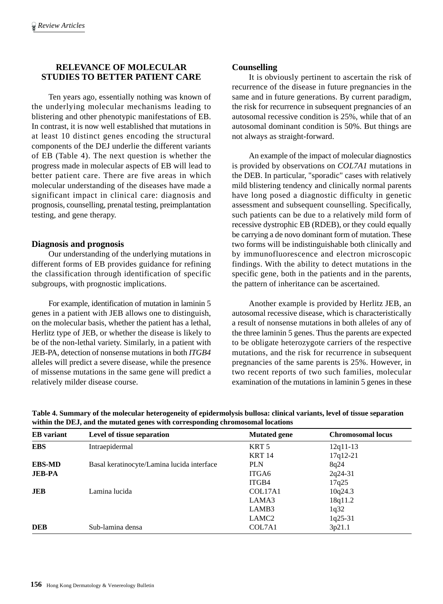## **RELEVANCE OF MOLECULAR STUDIES TO BETTER PATIENT CARE**

Ten years ago, essentially nothing was known of the underlying molecular mechanisms leading to blistering and other phenotypic manifestations of EB. In contrast, it is now well established that mutations in at least 10 distinct genes encoding the structural components of the DEJ underlie the different variants of EB (Table 4). The next question is whether the progress made in molecular aspects of EB will lead to better patient care. There are five areas in which molecular understanding of the diseases have made a significant impact in clinical care: diagnosis and prognosis, counselling, prenatal testing, preimplantation testing, and gene therapy.

## **Diagnosis and prognosis**

Our understanding of the underlying mutations in different forms of EB provides guidance for refining the classification through identification of specific subgroups, with prognostic implications.

For example, identification of mutation in laminin 5 genes in a patient with JEB allows one to distinguish, on the molecular basis, whether the patient has a lethal, Herlitz type of JEB, or whether the disease is likely to be of the non-lethal variety. Similarly, in a patient with JEB-PA, detection of nonsense mutations in both *ITGB4* alleles will predict a severe disease, while the presence of missense mutations in the same gene will predict a relatively milder disease course.

## **Counselling**

It is obviously pertinent to ascertain the risk of recurrence of the disease in future pregnancies in the same and in future generations. By current paradigm, the risk for recurrence in subsequent pregnancies of an autosomal recessive condition is 25%, while that of an autosomal dominant condition is 50%. But things are not always as straight-forward.

An example of the impact of molecular diagnostics is provided by observations on *COL7A1* mutations in the DEB. In particular, "sporadic" cases with relatively mild blistering tendency and clinically normal parents have long posed a diagnostic difficulty in genetic assessment and subsequent counselling. Specifically, such patients can be due to a relatively mild form of recessive dystrophic EB (RDEB), or they could equally be carrying a de novo dominant form of mutation. These two forms will be indistinguishable both clinically and by immunofluorescence and electron microscopic findings. With the ability to detect mutations in the specific gene, both in the patients and in the parents, the pattern of inheritance can be ascertained.

Another example is provided by Herlitz JEB, an autosomal recessive disease, which is characteristically a result of nonsense mutations in both alleles of any of the three laminin 5 genes. Thus the parents are expected to be obligate heterozygote carriers of the respective mutations, and the risk for recurrence in subsequent pregnancies of the same parents is 25%. However, in two recent reports of two such families, molecular examination of the mutations in laminin 5 genes in these

| Table 4. Summary of the molecular heterogeneity of epidermolysis bullosa: clinical variants, level of tissue separation |
|-------------------------------------------------------------------------------------------------------------------------|
| within the DEJ, and the mutated genes with corresponding chromosomal locations                                          |

| <b>EB</b> variant | Level of tissue separation                 | <b>Mutated gene</b> | <b>Chromosomal locus</b> |
|-------------------|--------------------------------------------|---------------------|--------------------------|
| <b>EBS</b>        | Intraepidermal                             | KRT <sub>5</sub>    | $12q11-13$               |
|                   |                                            | <b>KRT 14</b>       | $17q12-21$               |
| <b>EBS-MD</b>     | Basal keratinocyte/Lamina lucida interface | <b>PLN</b>          | 8q24                     |
| <b>JEB-PA</b>     |                                            | ITGA6               | $2q24-31$                |
|                   |                                            | ITGB4               | 17q25                    |
| JEB               | Lamina lucida                              | COL17A1             | 10q24.3                  |
|                   |                                            | LAMA3               | 18q11.2                  |
|                   |                                            | LAMB3               | 1q32                     |
|                   |                                            | LAMC <sub>2</sub>   | 1q25-31                  |
| <b>DEB</b>        | Sub-lamina densa                           | COL7A1              | 3p21.1                   |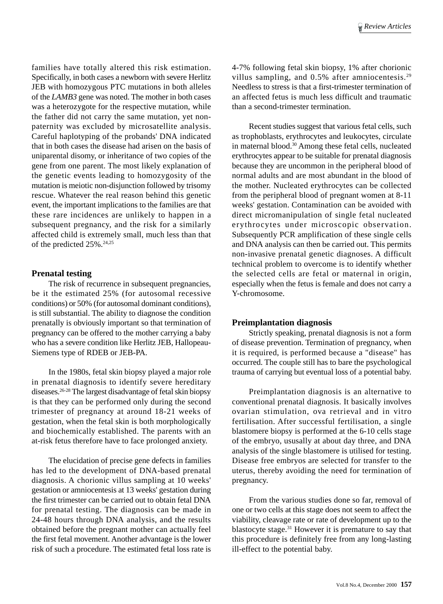families have totally altered this risk estimation. Specifically, in both cases a newborn with severe Herlitz JEB with homozygous PTC mutations in both alleles of the *LAMB3* gene was noted. The mother in both cases was a heterozygote for the respective mutation, while the father did not carry the same mutation, yet nonpaternity was excluded by microsatellite analysis. Careful haplotyping of the probands' DNA indicated that in both cases the disease had arisen on the basis of uniparental disomy, or inheritance of two copies of the gene from one parent. The most likely explanation of the genetic events leading to homozygosity of the mutation is meiotic non-disjunction followed by trisomy rescue. Whatever the real reason behind this genetic event, the important implications to the families are that these rare incidences are unlikely to happen in a subsequent pregnancy, and the risk for a similarly affected child is extremely small, much less than that of the predicted 25%.<sup>24,25</sup>

#### **Prenatal testing**

The risk of recurrence in subsequent pregnancies, be it the estimated 25% (for autosomal recessive conditions) or 50% (for autosomal dominant conditions), is still substantial. The ability to diagnose the condition prenatally is obviously important so that termination of pregnancy can be offered to the mother carrying a baby who has a severe condition like Herlitz JEB, Hallopeau-Siemens type of RDEB or JEB-PA.

In the 1980s, fetal skin biopsy played a major role in prenatal diagnosis to identify severe hereditary diseases.26-28 The largest disadvantage of fetal skin biopsy is that they can be performed only during the second trimester of pregnancy at around 18-21 weeks of gestation, when the fetal skin is both morphologically and biochemically established. The parents with an at-risk fetus therefore have to face prolonged anxiety.

The elucidation of precise gene defects in families has led to the development of DNA-based prenatal diagnosis. A chorionic villus sampling at 10 weeks' gestation or amniocentesis at 13 weeks' gestation during the first trimester can be carried out to obtain fetal DNA for prenatal testing. The diagnosis can be made in 24-48 hours through DNA analysis, and the results obtained before the pregnant mother can actually feel the first fetal movement. Another advantage is the lower risk of such a procedure. The estimated fetal loss rate is

4-7% following fetal skin biopsy, 1% after chorionic villus sampling, and 0.5% after amniocentesis.<sup>29</sup> Needless to stress is that a first-trimester termination of an affected fetus is much less difficult and traumatic than a second-trimester termination.

Recent studies suggest that various fetal cells, such as trophoblasts, erythrocytes and leukocytes, circulate in maternal blood.30 Among these fetal cells, nucleated erythrocytes appear to be suitable for prenatal diagnosis because they are uncommon in the peripheral blood of normal adults and are most abundant in the blood of the mother. Nucleated erythrocytes can be collected from the peripheral blood of pregnant women at 8-11 weeks' gestation. Contamination can be avoided with direct micromanipulation of single fetal nucleated erythrocytes under microscopic observation. Subsequently PCR amplification of these single cells and DNA analysis can then be carried out. This permits non-invasive prenatal genetic diagnoses. A difficult technical problem to overcome is to identify whether the selected cells are fetal or maternal in origin, especially when the fetus is female and does not carry a Y-chromosome.

#### **Preimplantation diagnosis**

Strictly speaking, prenatal diagnosis is not a form of disease prevention. Termination of pregnancy, when it is required, is performed because a "disease" has occurred. The couple still has to bare the psychological trauma of carrying but eventual loss of a potential baby.

Preimplantation diagnosis is an alternative to conventional prenatal diagnosis. It basically involves ovarian stimulation, ova retrieval and in vitro fertilisation. After successful fertilisation, a single blastomere biopsy is performed at the 6-10 cells stage of the embryo, ususally at about day three, and DNA analysis of the single blastomere is utilised for testing. Disease free embryos are selected for transfer to the uterus, thereby avoiding the need for termination of pregnancy.

From the various studies done so far, removal of one or two cells at this stage does not seem to affect the viability, cleavage rate or rate of development up to the blastocyte stage.31 However it is premature to say that this procedure is definitely free from any long-lasting ill-effect to the potential baby.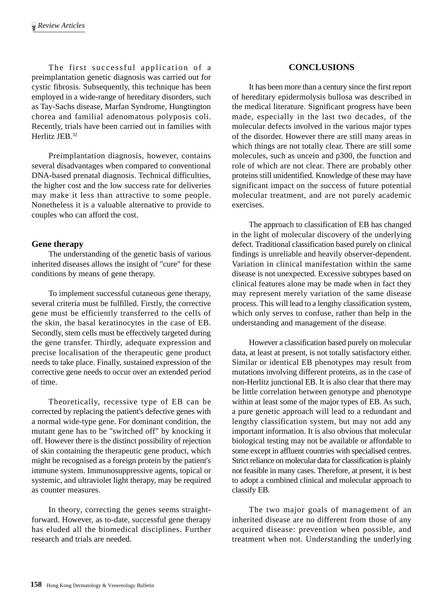The first successful application of a preimplantation genetic diagnosis was carried out for cystic fibrosis. Subsequently, this technique has been employed in a wide-range of hereditary disorders, such as Tay-Sachs disease, Marfan Syndrome, Hungtington chorea and familial adenomatous polyposis coli. Recently, trials have been carried out in families with Herlitz JEB.32

Preimplantation diagnosis, however, contains several disadvantages when compared to conventional DNA-based prenatal diagnosis. Technical difficulties, the higher cost and the low success rate for deliveries may make it less than attractive to some people. Nonetheless it is a valuable alternative to provide to couples who can afford the cost.

## **Gene therapy**

The understanding of the genetic basis of various inherited diseases allows the insight of "cure" for these conditions by means of gene therapy.

To implement successful cutaneous gene therapy, several criteria must be fulfilled. Firstly, the corrective gene must be efficiently transferred to the cells of the skin, the basal keratinocytes in the case of EB. Secondly, stem cells must be effectively targeted during the gene transfer. Thirdly, adequate expression and precise localisation of the therapeutic gene product needs to take place. Finally, sustained expression of the corrective gene needs to occur over an extended period of time.

Theoretically, recessive type of EB can be corrected by replacing the patient's defective genes with a normal wide-type gene. For dominant condition, the mutant gene has to be "switched off" by knocking it off. However there is the distinct possibility of rejection of skin containing the therapeutic gene product, which might be recognised as a foreign protein by the patient's immune system. Immunosuppressive agents, topical or systemic, and ultraviolet light therapy, may be required as counter measures.

In theory, correcting the genes seems straightforward. However, as to-date, successful gene therapy has eluded all the biomedical disciplines. Further research and trials are needed.

## **CONCLUSIONS**

It has been more than a century since the first report of hereditary epidermolysis bullosa was described in the medical literature. Significant progress have been made, especially in the last two decades, of the molecular defects involved in the various major types of the disorder. However there are still many areas in which things are not totally clear. There are still some molecules, such as uncein and p300, the function and role of which are not clear. There are probably other proteins still unidentified. Knowledge of these may have significant impact on the success of future potential molecular treatment, and are not purely academic exercises.

The approach to classification of EB has changed in the light of molecular discovery of the underlying defect. Traditional classification based purely on clinical findings is unreliable and heavily observer-dependent. Variation in clinical manifestation within the same disease is not unexpected. Excessive subtypes based on clinical features alone may be made when in fact they may represent merely variation of the same disease process. This will lead to a lengthy classification system, which only serves to confuse, rather than help in the understanding and management of the disease.

However a classification based purely on molecular data, at least at present, is not totally satisfactory either. Similar or identical EB phenotypes may result from mutations involving different proteins, as in the case of non-Herlitz junctional EB. It is also clear that there may be little correlation between genotype and phenotype within at least some of the major types of EB. As such, a pure genetic approach will lead to a redundant and lengthy classification system, but may not add any important information. It is also obvious that molecular biological testing may not be available or affordable to some except in affluent countries with specialised centres. Strict reliance on molecular data for classification is plainly not feasible in many cases. Therefore, at present, it is best to adopt a combined clinical and molecular approach to classify EB.

The two major goals of management of an inherited disease are no different from those of any acquired disease: prevention when possible, and treatment when not. Understanding the underlying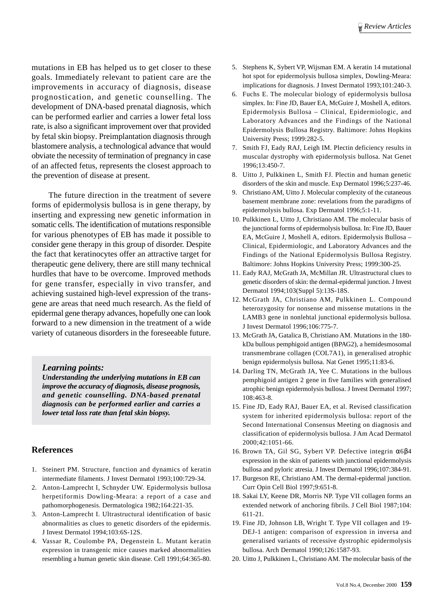mutations in EB has helped us to get closer to these goals. Immediately relevant to patient care are the improvements in accuracy of diagnosis, disease prognostication, and genetic counselling. The development of DNA-based prenatal diagnosis, which can be performed earlier and carries a lower fetal loss rate, is also a significant improvement over that provided by fetal skin biopsy. Preimplantation diagnosis through blastomere analysis, a technological advance that would obviate the necessity of termination of pregnancy in case of an affected fetus, represents the closest approach to the prevention of disease at present.

The future direction in the treatment of severe forms of epidermolysis bullosa is in gene therapy, by inserting and expressing new genetic information in somatic cells. The identification of mutations responsible for various phenotypes of EB has made it possible to consider gene therapy in this group of disorder. Despite the fact that keratinocytes offer an attractive target for therapeutic gene delivery, there are still many technical hurdles that have to be overcome. Improved methods for gene transfer, especially in vivo transfer, and achieving sustained high-level expression of the transgene are areas that need much research. As the field of epidermal gene therapy advances, hopefully one can look forward to a new dimension in the treatment of a wide variety of cutaneous disorders in the foreseeable future.

#### *Learning points:*

*Understanding the underlying mutations in EB can improve the accuracy of diagnosis, disease prognosis, and genetic counselling. DNA-based prenatal diagnosis can be performed earlier and carries a lower tetal loss rate than fetal skin biopsy.*

#### **References**

- 1. Steinert PM. Structure, function and dynamics of keratin intermediate filaments. J Invest Dermatol 1993;100:729-34.
- 2. Anton-Lamprecht I, Schnyder UW. Epidermolysis bullosa herpetiformis Dowling-Meara: a report of a case and pathomorphogenesis. Dermatologica 1982;164:221-35.
- 3. Anton-Lamprecht I. Ultrastructural identification of basic abnormalities as clues to genetic disorders of the epidermis. J Invest Dermatol 1994;103:6S-12S.
- 4. Vassar R, Coulombe PA, Degenstein L. Mutant keratin expression in transgenic mice causes marked abnormalities resembling a human genetic skin disease. Cell 1991;64:365-80.
- 5. Stephens K, Sybert VP, Wijsman EM. A keratin 14 mutational hot spot for epidermolysis bullosa simplex, Dowling-Meara: implications for diagnosis. J Invest Dermatol 1993;101:240-3.
- 6. Fuchs E. The molecular biology of epidermolysis bullosa simplex. In: Fine JD, Bauer EA, McGuire J, Moshell A, editors. Epidermolysis Bullosa – Clinical, Epidermiologic, and Laboratory Advances and the Findings of the National Epidermolysis Bullosa Registry. Baltimore: Johns Hopkins University Press; 1999:282-5.
- 7. Smith FJ, Eady RAJ, Leigh IM. Plectin deficiency results in muscular dystrophy with epidermolysis bullosa. Nat Genet 1996;13:450-7.
- 8. Uitto J, Pulkkinen L, Smith FJ. Plectin and human genetic disorders of the skin and muscle. Exp Dermatol 1996;5:237-46.
- 9. Christiano AM, Uitto J. Molecular complexity of the cutaneous basement membrane zone: revelations from the paradigms of epidermolysis bullosa. Exp Dermatol 1996;5:1-11.
- 10. Pulkkinen L, Uitto J, Christiano AM. The molecular basis of the junctional forms of epidermolysis bullosa. In: Fine JD, Bauer EA, McGuire J, Moshell A, editors. Epidermolysis Bullosa – Clinical, Epidermiologic, and Laboratory Advances and the Findings of the National Epidermolysis Bullosa Registry. Baltimore: Johns Hopkins University Press; 1999:300-25.
- 11. Eady RAJ, McGrath JA, McMillan JR. Ultrastructural clues to genetic disorders of skin: the dermal-epidermal junction. J Invest Dermatol 1994;103(Suppl 5):13S-18S.
- 12. McGrath JA, Christiano AM, Pulkkinen L. Compound heterozygosity for nonsense and missense mutations in the LAMB3 gene in nonlehtal junctional epidermolysis bullosa. J Invest Dermatol 1996;106:775-7.
- 13. McGrath JA, Gatalica B, Christiano AM. Mutations in the 180 kDa bullous pemphigoid antigen (BPAG2), a hemidesmosomal transmembrane collagen (COL7A1), in generalised atrophic benign epidermolysis bullosa. Nat Genet 1995;11:83-6.
- 14. Darling TN, McGrath JA, Yee C. Mutations in the bullous pemphigoid antigen 2 gene in five families with generalised atrophic benign epidermolysis bullosa. J Invest Dermatol 1997; 108:463-8.
- 15. Fine JD, Eady RAJ, Bauer EA, et al. Revised classification system for inherited epidermolysis bullosa: report of the Second International Consensus Meeting on diagnosis and classification of epidermolysis bullosa. J Am Acad Dermatol 2000;42:1051-66.
- 16. Brown TA, Gil SG, Sybert VP. Defective integrin α6β4 expression in the skin of patients with junctional epidermolysis bullosa and pyloric atresia. J Invest Dermatol 1996;107:384-91.
- 17. Burgeson RE, Christiano AM. The dermal-epidermal junction. Curr Opin Cell Biol 1997;9:651-8.
- 18. Sakai LY, Keene DR, Morris NP. Type VII collagen forms an extended network of anchoring fibrils. J Cell Biol 1987;104: 611-21.
- 19. Fine JD, Johnson LB, Wright T. Type VII collagen and 19- DEJ-1 antigen: comparison of expression in inversa and generalised variants of recessive dystrophic epidermolysis bullosa. Arch Dermatol 1990;126:1587-93.
- 20. Uitto J, Pulkkinen L, Christiano AM. The molecular basis of the